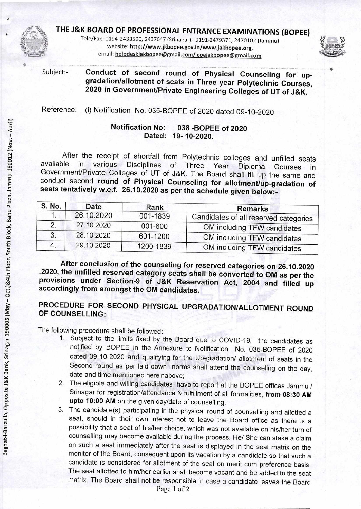

**THE J&K BOARD OF PROFESSIONAL ENTRANCE EXAMINATIONS (BOPEE)** 

Tele/Fax: 0194-2433590, 2437647 (Srinagar): 0191-2479371, 2470102 (Jammu) website: http://www.jkbopee.gov.in/www.jakbopee.org, email: helpdeskjakbopee@gmail.com/ coejakbopee@gmail.com



Subject:- **Conduct of second round of Physical Counseling for upgradation/allotment of seats in Three year Polytechnic Courses, 2020 in Government/Private Engineering Colleges of UT of J&K.** 

Reference: (i) Notification No. 035-BOPEE of 2020 dated 09-10-2020

## **Notification No: 038 -BOPEE of 2020 Dated: 19- 10-2020.**

After the receipt of shortfall from Polytechnic colleges and unfilled seats<br>available in various Disciplines of Three Year Diploma Courses in available in various Disciplines of Three Year Diploma Courses in Government/Private Colleges of UT of J&K. The Board shall fill up the same and conduct second **round of Physical Counseling for allotment/up-gradation of**  seats tentatively w.e.f. 26.10.2020 as per the schedule given below:-

| S. No. | Date       | Rank      | <b>Remarks</b>                        |
|--------|------------|-----------|---------------------------------------|
|        | 26.10.2020 | 001-1839  | Candidates of all reserved categories |
|        | 27.10.2020 | 001-600   | OM including TFW candidates           |
| 3.     | 28.10.2020 | 601-1200  | OM including TFW candidates           |
| 4.     | 29.10.2020 | 1200-1839 | OM including TFW candidates           |

**After conclusion of the counseling for reserved categories on 26.10.2020 .2020, the unfilled reserved category seats shall be converted to OM as per the provisions under Section-9 of J&K Reservation Act, 2004 and filled up accordingly from amongst the OM candidates.** 

# **PROCEDURE FOR SECOND PHYSICAL UPGRADATION/ALLOTMENT ROUND OF COUNSELLING:**

The following procedure shall be followed:

- 1. Subject to the limits fixed by the Board due to COVID-19, the candidates as notified by BOPEE in the Annexure to Notification No. 035-BOPEE of 2020 dated 09-10-2020 and qualifying for the Up-gradation/ allotment of seats in the Second round as per laid down norms shall attend the counseling on the day, date and time mentioned hereinabove;
- 2. The eligible and willing candidates have to report at the BOPEE offices Jammu / Srinagar for registration/attendance & fulfillment of all formalities, **from 08:30 AM upto 10:00 AM** on the given day/date of counselling.
- 3. The candidate(s) participating in the physical round of counselling and allotted a seat, should in their own interest not to leave the Board office as there is a possibility that a seat of his/her choice, which was not available on his/her turn of counselling may become available during the process. He/ She can stake a claim on such a seat immediately after the seat is displayed in the seat matrix on the monitor of the Board, consequent upon its vacation by a candidate so that such a candidate is considered for allotment of the seat on merit cum preference basis. The seat allotted to him/her earlier shall become vacant and be added to the seat matrix. The Board shall not be responsible in case a candidate leaves the Board